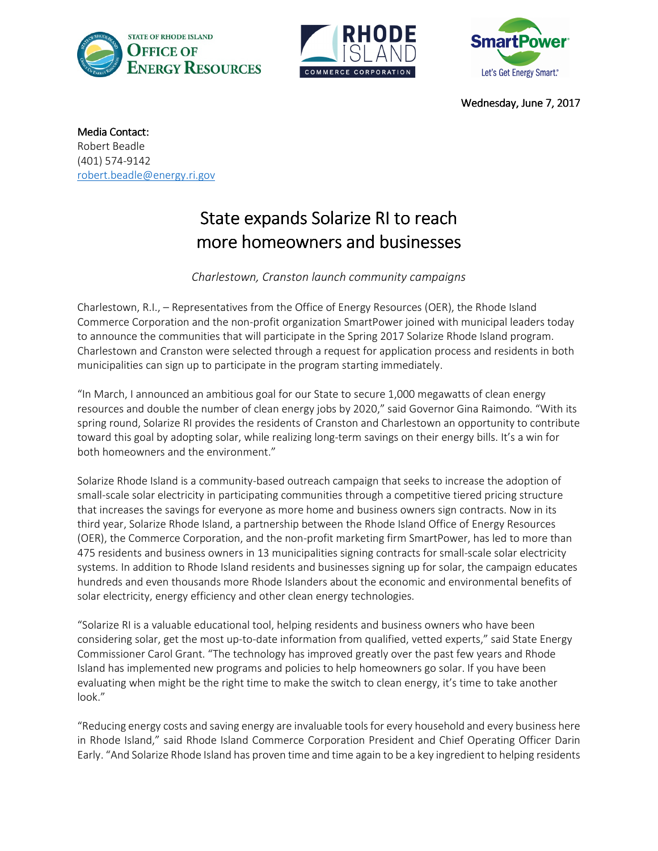





Wednesday, June 7, 2017

Media Contact: Robert Beadle (401) 574-9142 robert.beadle@energy.ri.gov

## State expands Solarize RI to reach more homeowners and businesses

Charlestown, Cranston launch community campaigns

Charlestown, R.I., – Representatives from the Office of Energy Resources (OER), the Rhode Island Commerce Corporation and the non-profit organization SmartPower joined with municipal leaders today to announce the communities that will participate in the Spring 2017 Solarize Rhode Island program. Charlestown and Cranston were selected through a request for application process and residents in both municipalities can sign up to participate in the program starting immediately.

"In March, I announced an ambitious goal for our State to secure 1,000 megawatts of clean energy resources and double the number of clean energy jobs by 2020," said Governor Gina Raimondo. "With its spring round, Solarize RI provides the residents of Cranston and Charlestown an opportunity to contribute toward this goal by adopting solar, while realizing long-term savings on their energy bills. It's a win for both homeowners and the environment."

Solarize Rhode Island is a community-based outreach campaign that seeks to increase the adoption of small-scale solar electricity in participating communities through a competitive tiered pricing structure that increases the savings for everyone as more home and business owners sign contracts. Now in its third year, Solarize Rhode Island, a partnership between the Rhode Island Office of Energy Resources (OER), the Commerce Corporation, and the non-profit marketing firm SmartPower, has led to more than 475 residents and business owners in 13 municipalities signing contracts for small-scale solar electricity systems. In addition to Rhode Island residents and businesses signing up for solar, the campaign educates hundreds and even thousands more Rhode Islanders about the economic and environmental benefits of solar electricity, energy efficiency and other clean energy technologies.

"Solarize RI is a valuable educational tool, helping residents and business owners who have been considering solar, get the most up-to-date information from qualified, vetted experts," said State Energy Commissioner Carol Grant. "The technology has improved greatly over the past few years and Rhode Island has implemented new programs and policies to help homeowners go solar. If you have been evaluating when might be the right time to make the switch to clean energy, it's time to take another look."

"Reducing energy costs and saving energy are invaluable tools for every household and every business here in Rhode Island," said Rhode Island Commerce Corporation President and Chief Operating Officer Darin Early. "And Solarize Rhode Island has proven time and time again to be a key ingredient to helping residents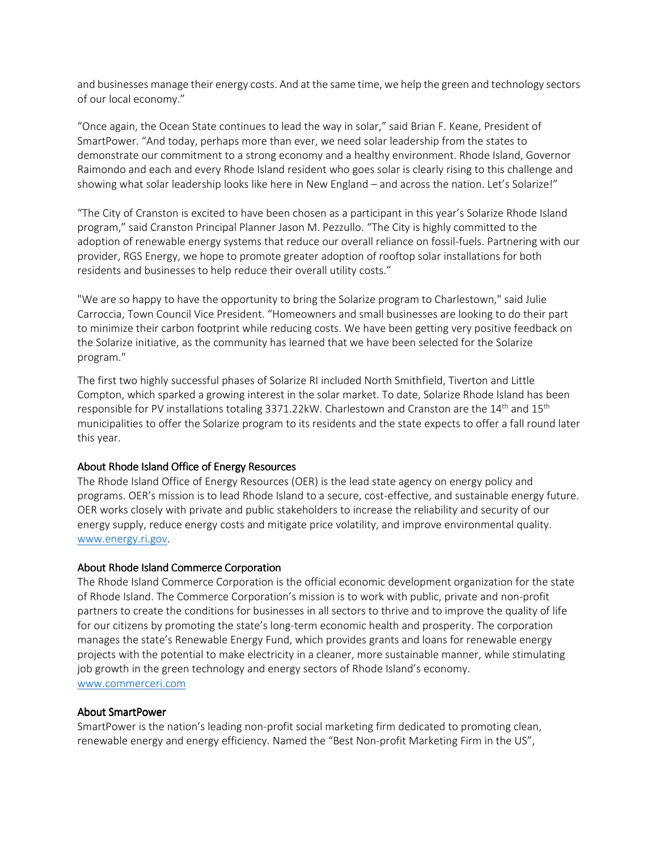and businesses manage their energy costs. And at the same time, we help the green and technology sectors of our local economy."

"Once again, the Ocean State continues to lead the way in solar," said Brian F. Keane, President of SmartPower. "And today, perhaps more than ever, we need solar leadership from the states to demonstrate our commitment to a strong economy and a healthy environment. Rhode Island, Governor Raimondo and each and every Rhode Island resident who goes solar is clearly rising to this challenge and showing what solar leadership looks like here in New England – and across the nation. Let's Solarize!"

"The City of Cranston is excited to have been chosen as a participant in this year's Solarize Rhode Island program," said Cranston Principal Planner Jason M. Pezzullo. "The City is highly committed to the adoption of renewable energy systems that reduce our overall reliance on fossil-fuels. Partnering with our provider, RGS Energy, we hope to promote greater adoption of rooftop solar installations for both residents and businesses to help reduce their overall utility costs."

"We are so happy to have the opportunity to bring the Solarize program to Charlestown," said Julie Carroccia, Town Council Vice President. "Homeowners and small businesses are looking to do their part to minimize their carbon footprint while reducing costs. We have been getting very positive feedback on the Solarize initiative, as the community has learned that we have been selected for the Solarize program."

The first two highly successful phases of Solarize RI included North Smithfield, Tiverton and Little Compton, which sparked a growing interest in the solar market. To date, Solarize Rhode Island has been responsible for PV installations totaling 3371.22kW. Charlestown and Cranston are the 14<sup>th</sup> and 15<sup>th</sup> municipalities to offer the Solarize program to its residents and the state expects to offer a fall round later this year.

## About Rhode Island Office of Energy Resources

The Rhode Island Office of Energy Resources (OER) is the lead state agency on energy policy and programs. OER's mission is to lead Rhode Island to a secure, cost-effective, and sustainable energy future. OER works closely with private and public stakeholders to increase the reliability and security of our energy supply, reduce energy costs and mitigate price volatility, and improve environmental quality. www.energy.ri.gov.

## About Rhode Island Commerce Corporation

The Rhode Island Commerce Corporation is the official economic development organization for the state of Rhode Island. The Commerce Corporation's mission is to work with public, private and non-profit partners to create the conditions for businesses in all sectors to thrive and to improve the quality of life for our citizens by promoting the state's long-term economic health and prosperity. The corporation manages the state's Renewable Energy Fund, which provides grants and loans for renewable energy projects with the potential to make electricity in a cleaner, more sustainable manner, while stimulating job growth in the green technology and energy sectors of Rhode Island's economy. www.commerceri.com

## About SmartPower

SmartPower is the nation's leading non-profit social marketing firm dedicated to promoting clean, renewable energy and energy efficiency. Named the "Best Non-profit Marketing Firm in the US",